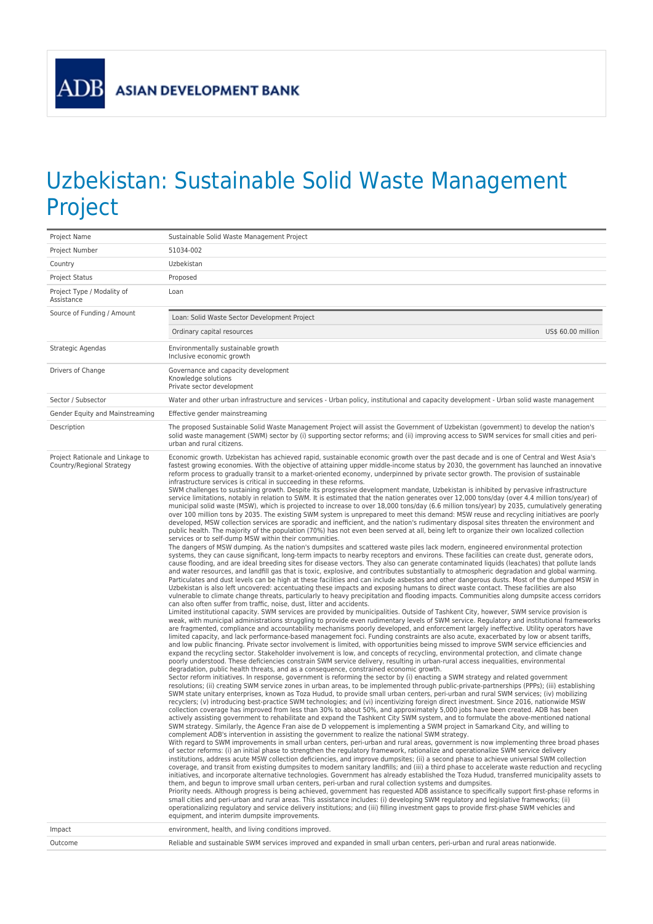## Uzbekistan: Sustainable Solid Waste Management Project

| Project Name                                                  | Sustainable Solid Waste Management Project                                                                                                                                                                                                                                                                                                                                                                                                                                                                                                                                                                                                                                                                                                                                                                                                                                                                                                                                                                                                                                                                                                                                                                                                                                                                                                                                                                                                                                                                                                                                                                                                                                                                                                                                                                                                                                                                                                                                                                                                                                                                                                                                                                                                                                                                                                                                                                                                                                                                                                                                                                                                                                                                                                                                                                                                                                                                                                                                                                                                                                                                                                                                                                                                                                                                                                                                                                                                                                                                                                                                                                                                                                                                                                                                                                                                                                                                                                                                                                                                                                                                                                                                                                                                                                                                                                                                                                                                                                                                                                                                                                                                                                                                                                                                                                                                                                                                                                                                                                                                                                                                                                                                                                                                                                                                                                                                                                                                                                                                                                                                                                                                                                                                                                                                                                                                                                                                                                                                                                                                                              |  |
|---------------------------------------------------------------|-------------------------------------------------------------------------------------------------------------------------------------------------------------------------------------------------------------------------------------------------------------------------------------------------------------------------------------------------------------------------------------------------------------------------------------------------------------------------------------------------------------------------------------------------------------------------------------------------------------------------------------------------------------------------------------------------------------------------------------------------------------------------------------------------------------------------------------------------------------------------------------------------------------------------------------------------------------------------------------------------------------------------------------------------------------------------------------------------------------------------------------------------------------------------------------------------------------------------------------------------------------------------------------------------------------------------------------------------------------------------------------------------------------------------------------------------------------------------------------------------------------------------------------------------------------------------------------------------------------------------------------------------------------------------------------------------------------------------------------------------------------------------------------------------------------------------------------------------------------------------------------------------------------------------------------------------------------------------------------------------------------------------------------------------------------------------------------------------------------------------------------------------------------------------------------------------------------------------------------------------------------------------------------------------------------------------------------------------------------------------------------------------------------------------------------------------------------------------------------------------------------------------------------------------------------------------------------------------------------------------------------------------------------------------------------------------------------------------------------------------------------------------------------------------------------------------------------------------------------------------------------------------------------------------------------------------------------------------------------------------------------------------------------------------------------------------------------------------------------------------------------------------------------------------------------------------------------------------------------------------------------------------------------------------------------------------------------------------------------------------------------------------------------------------------------------------------------------------------------------------------------------------------------------------------------------------------------------------------------------------------------------------------------------------------------------------------------------------------------------------------------------------------------------------------------------------------------------------------------------------------------------------------------------------------------------------------------------------------------------------------------------------------------------------------------------------------------------------------------------------------------------------------------------------------------------------------------------------------------------------------------------------------------------------------------------------------------------------------------------------------------------------------------------------------------------------------------------------------------------------------------------------------------------------------------------------------------------------------------------------------------------------------------------------------------------------------------------------------------------------------------------------------------------------------------------------------------------------------------------------------------------------------------------------------------------------------------------------------------------------------------------------------------------------------------------------------------------------------------------------------------------------------------------------------------------------------------------------------------------------------------------------------------------------------------------------------------------------------------------------------------------------------------------------------------------------------------------------------------------------------------------------------------------------------------------------------------------------------------------------------------------------------------------------------------------------------------------------------------------------------------------------------------------------------------------------------------------------------------------------------------------------------------------------------------------------------------------------------------------------------------------------------------------------------------------------|--|
| Project Number                                                | 51034-002                                                                                                                                                                                                                                                                                                                                                                                                                                                                                                                                                                                                                                                                                                                                                                                                                                                                                                                                                                                                                                                                                                                                                                                                                                                                                                                                                                                                                                                                                                                                                                                                                                                                                                                                                                                                                                                                                                                                                                                                                                                                                                                                                                                                                                                                                                                                                                                                                                                                                                                                                                                                                                                                                                                                                                                                                                                                                                                                                                                                                                                                                                                                                                                                                                                                                                                                                                                                                                                                                                                                                                                                                                                                                                                                                                                                                                                                                                                                                                                                                                                                                                                                                                                                                                                                                                                                                                                                                                                                                                                                                                                                                                                                                                                                                                                                                                                                                                                                                                                                                                                                                                                                                                                                                                                                                                                                                                                                                                                                                                                                                                                                                                                                                                                                                                                                                                                                                                                                                                                                                                                               |  |
| Country                                                       | Uzbekistan                                                                                                                                                                                                                                                                                                                                                                                                                                                                                                                                                                                                                                                                                                                                                                                                                                                                                                                                                                                                                                                                                                                                                                                                                                                                                                                                                                                                                                                                                                                                                                                                                                                                                                                                                                                                                                                                                                                                                                                                                                                                                                                                                                                                                                                                                                                                                                                                                                                                                                                                                                                                                                                                                                                                                                                                                                                                                                                                                                                                                                                                                                                                                                                                                                                                                                                                                                                                                                                                                                                                                                                                                                                                                                                                                                                                                                                                                                                                                                                                                                                                                                                                                                                                                                                                                                                                                                                                                                                                                                                                                                                                                                                                                                                                                                                                                                                                                                                                                                                                                                                                                                                                                                                                                                                                                                                                                                                                                                                                                                                                                                                                                                                                                                                                                                                                                                                                                                                                                                                                                                                              |  |
| Project Status                                                | Proposed                                                                                                                                                                                                                                                                                                                                                                                                                                                                                                                                                                                                                                                                                                                                                                                                                                                                                                                                                                                                                                                                                                                                                                                                                                                                                                                                                                                                                                                                                                                                                                                                                                                                                                                                                                                                                                                                                                                                                                                                                                                                                                                                                                                                                                                                                                                                                                                                                                                                                                                                                                                                                                                                                                                                                                                                                                                                                                                                                                                                                                                                                                                                                                                                                                                                                                                                                                                                                                                                                                                                                                                                                                                                                                                                                                                                                                                                                                                                                                                                                                                                                                                                                                                                                                                                                                                                                                                                                                                                                                                                                                                                                                                                                                                                                                                                                                                                                                                                                                                                                                                                                                                                                                                                                                                                                                                                                                                                                                                                                                                                                                                                                                                                                                                                                                                                                                                                                                                                                                                                                                                                |  |
| Project Type / Modality of<br>Assistance                      | Loan                                                                                                                                                                                                                                                                                                                                                                                                                                                                                                                                                                                                                                                                                                                                                                                                                                                                                                                                                                                                                                                                                                                                                                                                                                                                                                                                                                                                                                                                                                                                                                                                                                                                                                                                                                                                                                                                                                                                                                                                                                                                                                                                                                                                                                                                                                                                                                                                                                                                                                                                                                                                                                                                                                                                                                                                                                                                                                                                                                                                                                                                                                                                                                                                                                                                                                                                                                                                                                                                                                                                                                                                                                                                                                                                                                                                                                                                                                                                                                                                                                                                                                                                                                                                                                                                                                                                                                                                                                                                                                                                                                                                                                                                                                                                                                                                                                                                                                                                                                                                                                                                                                                                                                                                                                                                                                                                                                                                                                                                                                                                                                                                                                                                                                                                                                                                                                                                                                                                                                                                                                                                    |  |
| Source of Funding / Amount                                    | Loan: Solid Waste Sector Development Project                                                                                                                                                                                                                                                                                                                                                                                                                                                                                                                                                                                                                                                                                                                                                                                                                                                                                                                                                                                                                                                                                                                                                                                                                                                                                                                                                                                                                                                                                                                                                                                                                                                                                                                                                                                                                                                                                                                                                                                                                                                                                                                                                                                                                                                                                                                                                                                                                                                                                                                                                                                                                                                                                                                                                                                                                                                                                                                                                                                                                                                                                                                                                                                                                                                                                                                                                                                                                                                                                                                                                                                                                                                                                                                                                                                                                                                                                                                                                                                                                                                                                                                                                                                                                                                                                                                                                                                                                                                                                                                                                                                                                                                                                                                                                                                                                                                                                                                                                                                                                                                                                                                                                                                                                                                                                                                                                                                                                                                                                                                                                                                                                                                                                                                                                                                                                                                                                                                                                                                                                            |  |
|                                                               | Ordinary capital resources<br>US\$ 60.00 million                                                                                                                                                                                                                                                                                                                                                                                                                                                                                                                                                                                                                                                                                                                                                                                                                                                                                                                                                                                                                                                                                                                                                                                                                                                                                                                                                                                                                                                                                                                                                                                                                                                                                                                                                                                                                                                                                                                                                                                                                                                                                                                                                                                                                                                                                                                                                                                                                                                                                                                                                                                                                                                                                                                                                                                                                                                                                                                                                                                                                                                                                                                                                                                                                                                                                                                                                                                                                                                                                                                                                                                                                                                                                                                                                                                                                                                                                                                                                                                                                                                                                                                                                                                                                                                                                                                                                                                                                                                                                                                                                                                                                                                                                                                                                                                                                                                                                                                                                                                                                                                                                                                                                                                                                                                                                                                                                                                                                                                                                                                                                                                                                                                                                                                                                                                                                                                                                                                                                                                                                        |  |
| Strategic Agendas                                             | Environmentally sustainable growth<br>Inclusive economic growth                                                                                                                                                                                                                                                                                                                                                                                                                                                                                                                                                                                                                                                                                                                                                                                                                                                                                                                                                                                                                                                                                                                                                                                                                                                                                                                                                                                                                                                                                                                                                                                                                                                                                                                                                                                                                                                                                                                                                                                                                                                                                                                                                                                                                                                                                                                                                                                                                                                                                                                                                                                                                                                                                                                                                                                                                                                                                                                                                                                                                                                                                                                                                                                                                                                                                                                                                                                                                                                                                                                                                                                                                                                                                                                                                                                                                                                                                                                                                                                                                                                                                                                                                                                                                                                                                                                                                                                                                                                                                                                                                                                                                                                                                                                                                                                                                                                                                                                                                                                                                                                                                                                                                                                                                                                                                                                                                                                                                                                                                                                                                                                                                                                                                                                                                                                                                                                                                                                                                                                                         |  |
| Drivers of Change                                             | Governance and capacity development<br>Knowledge solutions<br>Private sector development                                                                                                                                                                                                                                                                                                                                                                                                                                                                                                                                                                                                                                                                                                                                                                                                                                                                                                                                                                                                                                                                                                                                                                                                                                                                                                                                                                                                                                                                                                                                                                                                                                                                                                                                                                                                                                                                                                                                                                                                                                                                                                                                                                                                                                                                                                                                                                                                                                                                                                                                                                                                                                                                                                                                                                                                                                                                                                                                                                                                                                                                                                                                                                                                                                                                                                                                                                                                                                                                                                                                                                                                                                                                                                                                                                                                                                                                                                                                                                                                                                                                                                                                                                                                                                                                                                                                                                                                                                                                                                                                                                                                                                                                                                                                                                                                                                                                                                                                                                                                                                                                                                                                                                                                                                                                                                                                                                                                                                                                                                                                                                                                                                                                                                                                                                                                                                                                                                                                                                                |  |
| Sector / Subsector                                            | Water and other urban infrastructure and services - Urban policy, institutional and capacity development - Urban solid waste management                                                                                                                                                                                                                                                                                                                                                                                                                                                                                                                                                                                                                                                                                                                                                                                                                                                                                                                                                                                                                                                                                                                                                                                                                                                                                                                                                                                                                                                                                                                                                                                                                                                                                                                                                                                                                                                                                                                                                                                                                                                                                                                                                                                                                                                                                                                                                                                                                                                                                                                                                                                                                                                                                                                                                                                                                                                                                                                                                                                                                                                                                                                                                                                                                                                                                                                                                                                                                                                                                                                                                                                                                                                                                                                                                                                                                                                                                                                                                                                                                                                                                                                                                                                                                                                                                                                                                                                                                                                                                                                                                                                                                                                                                                                                                                                                                                                                                                                                                                                                                                                                                                                                                                                                                                                                                                                                                                                                                                                                                                                                                                                                                                                                                                                                                                                                                                                                                                                                 |  |
| Gender Equity and Mainstreaming                               | Effective gender mainstreaming                                                                                                                                                                                                                                                                                                                                                                                                                                                                                                                                                                                                                                                                                                                                                                                                                                                                                                                                                                                                                                                                                                                                                                                                                                                                                                                                                                                                                                                                                                                                                                                                                                                                                                                                                                                                                                                                                                                                                                                                                                                                                                                                                                                                                                                                                                                                                                                                                                                                                                                                                                                                                                                                                                                                                                                                                                                                                                                                                                                                                                                                                                                                                                                                                                                                                                                                                                                                                                                                                                                                                                                                                                                                                                                                                                                                                                                                                                                                                                                                                                                                                                                                                                                                                                                                                                                                                                                                                                                                                                                                                                                                                                                                                                                                                                                                                                                                                                                                                                                                                                                                                                                                                                                                                                                                                                                                                                                                                                                                                                                                                                                                                                                                                                                                                                                                                                                                                                                                                                                                                                          |  |
| Description                                                   | The proposed Sustainable Solid Waste Management Project will assist the Government of Uzbekistan (government) to develop the nation's<br>solid waste management (SWM) sector by (i) supporting sector reforms; and (ii) improving access to SWM services for small cities and peri-<br>urban and rural citizens.                                                                                                                                                                                                                                                                                                                                                                                                                                                                                                                                                                                                                                                                                                                                                                                                                                                                                                                                                                                                                                                                                                                                                                                                                                                                                                                                                                                                                                                                                                                                                                                                                                                                                                                                                                                                                                                                                                                                                                                                                                                                                                                                                                                                                                                                                                                                                                                                                                                                                                                                                                                                                                                                                                                                                                                                                                                                                                                                                                                                                                                                                                                                                                                                                                                                                                                                                                                                                                                                                                                                                                                                                                                                                                                                                                                                                                                                                                                                                                                                                                                                                                                                                                                                                                                                                                                                                                                                                                                                                                                                                                                                                                                                                                                                                                                                                                                                                                                                                                                                                                                                                                                                                                                                                                                                                                                                                                                                                                                                                                                                                                                                                                                                                                                                                        |  |
| Project Rationale and Linkage to<br>Country/Regional Strategy | Economic growth. Uzbekistan has achieved rapid, sustainable economic growth over the past decade and is one of Central and West Asia's<br>fastest growing economies. With the objective of attaining upper middle-income status by 2030, the government has launched an innovative<br>reform process to gradually transit to a market-oriented economy, underpinned by private sector growth. The provision of sustainable<br>infrastructure services is critical in succeeding in these reforms.<br>SWM challenges to sustaining growth. Despite its progressive development mandate, Uzbekistan is inhibited by pervasive infrastructure<br>service limitations, notably in relation to SWM. It is estimated that the nation generates over 12,000 tons/day (over 4.4 million tons/year) of<br>municipal solid waste (MSW), which is projected to increase to over 18,000 tons/day (6.6 million tons/year) by 2035, cumulatively generating<br>over 100 million tons by 2035. The existing SWM system is unprepared to meet this demand: MSW reuse and recycling initiatives are poorly<br>developed, MSW collection services are sporadic and inefficient, and the nation's rudimentary disposal sites threaten the environment and<br>public health. The majority of the population (70%) has not even been served at all, being left to organize their own localized collection<br>services or to self-dump MSW within their communities.<br>The dangers of MSW dumping. As the nation's dumpsites and scattered waste piles lack modern, engineered environmental protection<br>systems, they can cause significant, long-term impacts to nearby receptors and environs. These facilities can create dust, generate odors,<br>cause flooding, and are ideal breeding sites for disease vectors. They also can generate contaminated liquids (leachates) that pollute lands<br>and water resources, and landfill gas that is toxic, explosive, and contributes substantially to atmospheric degradation and global warming.<br>Particulates and dust levels can be high at these facilities and can include asbestos and other dangerous dusts. Most of the dumped MSW in<br>Uzbekistan is also left uncovered: accentuating these impacts and exposing humans to direct waste contact. These facilities are also<br>vulnerable to climate change threats, particularly to heavy precipitation and flooding impacts. Communities along dumpsite access corridors<br>can also often suffer from traffic, noise, dust, litter and accidents.<br>Limited institutional capacity. SWM services are provided by municipalities. Outside of Tashkent City, however, SWM service provision is<br>weak, with municipal administrations struggling to provide even rudimentary levels of SWM service. Regulatory and institutional frameworks<br>are fragmented, compliance and accountability mechanisms poorly developed, and enforcement largely ineffective. Utility operators have<br>limited capacity, and lack performance-based management foci. Funding constraints are also acute, exacerbated by low or absent tariffs,<br>and low public financing. Private sector involvement is limited, with opportunities being missed to improve SWM service efficiencies and<br>expand the recycling sector. Stakeholder involvement is low, and concepts of recycling, environmental protection, and climate change<br>poorly understood. These deficiencies constrain SWM service delivery, resulting in urban-rural access inequalities, environmental<br>degradation, public health threats, and as a consequence, constrained economic growth.<br>Sector reform initiatives. In response, government is reforming the sector by (i) enacting a SWM strategy and related government<br>resolutions; (ii) creating SWM service zones in urban areas, to be implemented through public-private-partnerships (PPPs); (iii) establishing<br>SWM state unitary enterprises, known as Toza Hudud, to provide small urban centers, peri-urban and rural SWM services; (iv) mobilizing<br>recyclers; (v) introducing best-practice SWM technologies; and (vi) incentivizing foreign direct investment. Since 2016, nationwide MSW<br>collection coverage has improved from less than 30% to about 50%, and approximately 5,000 jobs have been created. ADB has been<br>actively assisting government to rehabilitate and expand the Tashkent City SWM system, and to formulate the above-mentioned national<br>SWM strategy. Similarly, the Agence Fran aise de D veloppement is implementing a SWM project in Samarkand City, and willing to<br>complement ADB's intervention in assisting the government to realize the national SWM strategy.<br>With regard to SWM improvements in small urban centers, peri-urban and rural areas, government is now implementing three broad phases<br>of sector reforms: (i) an initial phase to strengthen the regulatory framework, rationalize and operationalize SWM service delivery<br>institutions, address acute MSW collection deficiencies, and improve dumpsites; (ii) a second phase to achieve universal SWM collection<br>coverage, and transit from existing dumpsites to modern sanitary landfills; and (iii) a third phase to accelerate waste reduction and recycling<br>initiatives, and incorporate alternative technologies. Government has already established the Toza Hudud, transferred municipality assets to<br>them, and begun to improve small urban centers, peri-urban and rural collection systems and dumpsites.<br>Priority needs. Although progress is being achieved, government has requested ADB assistance to specifically support first-phase reforms in<br>small cities and peri-urban and rural areas. This assistance includes: (i) developing SWM regulatory and legislative frameworks; (ii)<br>operationalizing regulatory and service delivery institutions; and (iii) filling investment gaps to provide first-phase SWM vehicles and<br>equipment, and interim dumpsite improvements. |  |
| Impact                                                        | environment, health, and living conditions improved.                                                                                                                                                                                                                                                                                                                                                                                                                                                                                                                                                                                                                                                                                                                                                                                                                                                                                                                                                                                                                                                                                                                                                                                                                                                                                                                                                                                                                                                                                                                                                                                                                                                                                                                                                                                                                                                                                                                                                                                                                                                                                                                                                                                                                                                                                                                                                                                                                                                                                                                                                                                                                                                                                                                                                                                                                                                                                                                                                                                                                                                                                                                                                                                                                                                                                                                                                                                                                                                                                                                                                                                                                                                                                                                                                                                                                                                                                                                                                                                                                                                                                                                                                                                                                                                                                                                                                                                                                                                                                                                                                                                                                                                                                                                                                                                                                                                                                                                                                                                                                                                                                                                                                                                                                                                                                                                                                                                                                                                                                                                                                                                                                                                                                                                                                                                                                                                                                                                                                                                                                    |  |
| Outcome                                                       | Reliable and sustainable SWM services improved and expanded in small urban centers, peri-urban and rural areas nationwide.                                                                                                                                                                                                                                                                                                                                                                                                                                                                                                                                                                                                                                                                                                                                                                                                                                                                                                                                                                                                                                                                                                                                                                                                                                                                                                                                                                                                                                                                                                                                                                                                                                                                                                                                                                                                                                                                                                                                                                                                                                                                                                                                                                                                                                                                                                                                                                                                                                                                                                                                                                                                                                                                                                                                                                                                                                                                                                                                                                                                                                                                                                                                                                                                                                                                                                                                                                                                                                                                                                                                                                                                                                                                                                                                                                                                                                                                                                                                                                                                                                                                                                                                                                                                                                                                                                                                                                                                                                                                                                                                                                                                                                                                                                                                                                                                                                                                                                                                                                                                                                                                                                                                                                                                                                                                                                                                                                                                                                                                                                                                                                                                                                                                                                                                                                                                                                                                                                                                              |  |